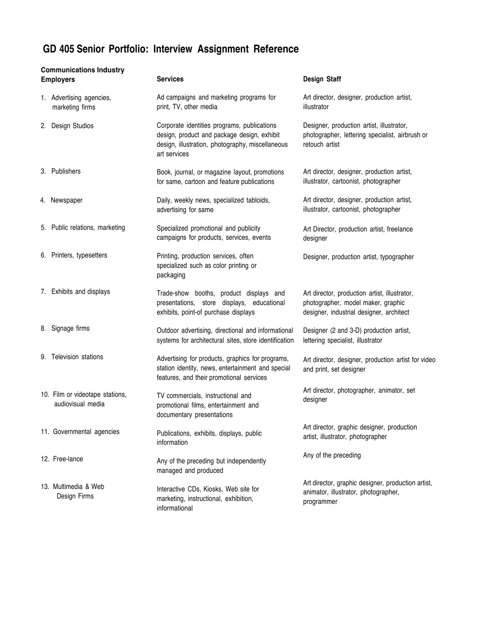## **GD 405 Senior Portfolio: Interview Assignment Reference**

| <b>Communications Industry</b><br><b>Employers</b> |                                                      | <b>Services</b>                                                                                                                                                | <b>Design Staff</b>                                                                                                             |
|----------------------------------------------------|------------------------------------------------------|----------------------------------------------------------------------------------------------------------------------------------------------------------------|---------------------------------------------------------------------------------------------------------------------------------|
|                                                    | 1. Advertising agencies,<br>marketing firms          | Ad campaigns and marketing programs for<br>print, TV, other media                                                                                              | Art director, designer, production artist,<br>illustrator                                                                       |
| 2. Design Studios                                  |                                                      | Corporate identities programs, publications<br>design, product and package design, exhibit<br>design, illustration, photography, miscellaneous<br>art services | Designer, production artist, illustrator,<br>photographer, lettering specialist, airbrush or<br>retouch artist                  |
| 3. Publishers                                      |                                                      | Book, journal, or magazine layout, promotions<br>for same, cartoon and feature publications                                                                    | Art director, designer, production artist,<br>illustrator, cartoonist, photographer                                             |
| 4. Newspaper                                       |                                                      | Daily, weekly news, specialized tabloids,<br>advertising for same                                                                                              | Art director, designer, production artist,<br>illustrator, cartoonist, photographer                                             |
|                                                    | 5. Public relations, marketing                       | Specialized promotional and publicity<br>campaigns for products, services, events                                                                              | Art Director, production artist, freelance<br>designer                                                                          |
|                                                    | 6. Printers, typesetters                             | Printing, production services, often<br>specialized such as color printing or<br>packaging                                                                     | Designer, production artist, typographer                                                                                        |
|                                                    | 7. Exhibits and displays                             | Trade-show booths, product displays and<br>presentations, store displays, educational<br>exhibits, point-of purchase displays                                  | Art director, production artist, illustrator,<br>photographer, model maker, graphic<br>designer, industrial designer, architect |
| 8. Signage firms                                   |                                                      | Outdoor advertising, directional and informational<br>systems for architectural sites, store identification                                                    | Designer (2 and 3-D) production artist,<br>lettering specialist, illustrator                                                    |
|                                                    | 9. Television stations                               | Advertising for products, graphics for programs,<br>station identity, news, entertainment and special<br>features, and their promotional services              | Art director, designer, production artist for video<br>and print, set designer                                                  |
|                                                    | 10. Film or videotape stations,<br>audiovisual media | TV commercials, instructional and<br>promotional films, entertainment and<br>documentary presentations                                                         | Art director, photographer, animator, set<br>designer                                                                           |
|                                                    | 11. Governmental agencies                            | Publications, exhibits, displays, public<br>information                                                                                                        | Art director, graphic designer, production<br>artist, illustrator, photographer                                                 |
| 12. Free-lance                                     |                                                      | Any of the preceding but independently<br>managed and produced                                                                                                 | Any of the preceding                                                                                                            |
|                                                    | 13. Multimedia & Web<br>Design Firms                 | Interactive CDs, Kiosks, Web site for<br>marketing, instructional, exhibition,<br>informational                                                                | Art director, graphic designer, production artist,<br>animator, illustrator, photographer,<br>programmer                        |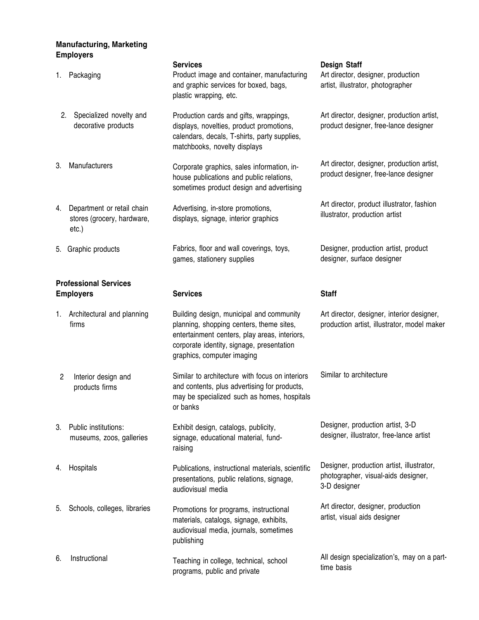## **Manufacturing, Marketing Employers**

| 1.                                               | Packaging                                                         | <b>Services</b><br>Product image and container, manufacturing<br>and graphic services for boxed, bags,<br>plastic wrapping, etc.                                                                                 | <b>Design Staff</b><br>Art director, designer, production<br>artist, illustrator, photographer   |
|--------------------------------------------------|-------------------------------------------------------------------|------------------------------------------------------------------------------------------------------------------------------------------------------------------------------------------------------------------|--------------------------------------------------------------------------------------------------|
| 2.                                               | Specialized novelty and<br>decorative products                    | Production cards and gifts, wrappings,<br>displays, novelties, product promotions,<br>calendars, decals, T-shirts, party supplies,<br>matchbooks, novelty displays                                               | Art director, designer, production artist,<br>product designer, free-lance designer              |
| 3.                                               | Manufacturers                                                     | Corporate graphics, sales information, in-<br>house publications and public relations,<br>sometimes product design and advertising                                                                               | Art director, designer, production artist,<br>product designer, free-lance designer              |
| 4.                                               | Department or retail chain<br>stores (grocery, hardware,<br>etc.) | Advertising, in-store promotions,<br>displays, signage, interior graphics                                                                                                                                        | Art director, product illustrator, fashion<br>illustrator, production artist                     |
| 5.                                               | Graphic products                                                  | Fabrics, floor and wall coverings, toys,<br>games, stationery supplies                                                                                                                                           | Designer, production artist, product<br>designer, surface designer                               |
| <b>Professional Services</b><br><b>Employers</b> |                                                                   | <b>Services</b>                                                                                                                                                                                                  | <b>Staff</b>                                                                                     |
| 1.                                               | Architectural and planning<br>firms                               | Building design, municipal and community<br>planning, shopping centers, theme sites,<br>entertainment centers, play areas, interiors,<br>corporate identity, signage, presentation<br>graphics, computer imaging | Art director, designer, interior designer,<br>production artist, illustrator, model maker        |
| $\overline{c}$                                   | Interior design and<br>products firms                             | Similar to architecture with focus on interiors<br>and contents, plus advertising for products,<br>may be specialized such as homes, hospitals<br>or banks                                                       | Similar to architecture                                                                          |
| 3.                                               | Public institutions:<br>museums, zoos, galleries                  | Exhibit design, catalogs, publicity,<br>signage, educational material, fund-<br>raising                                                                                                                          | Designer, production artist, 3-D<br>designer, illustrator, free-lance artist                     |
| 4.                                               | Hospitals                                                         | Publications, instructional materials, scientific<br>presentations, public relations, signage,<br>audiovisual media                                                                                              | Designer, production artist, illustrator,<br>photographer, visual-aids designer,<br>3-D designer |
| 5.                                               | Schools, colleges, libraries                                      | Promotions for programs, instructional<br>materials, catalogs, signage, exhibits,<br>audiovisual media, journals, sometimes<br>publishing                                                                        | Art director, designer, production<br>artist, visual aids designer                               |
| 6.                                               | Instructional                                                     | Teaching in college, technical, school<br>programs, public and private                                                                                                                                           | All design specialization's, may on a part-<br>time basis                                        |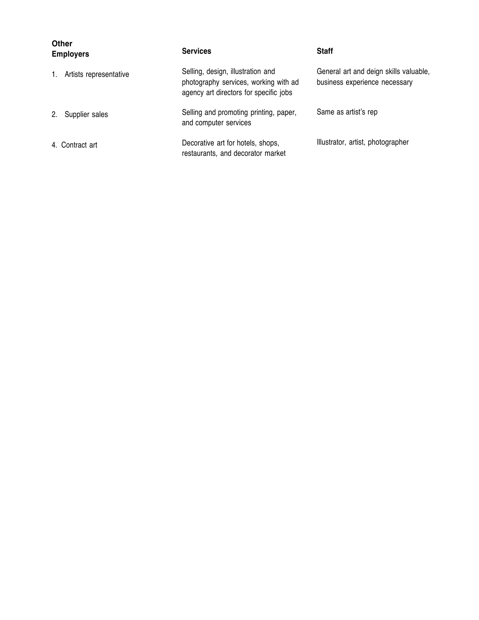| <b>Other</b><br><b>Employers</b> |                        | <b>Services</b>                                                                                                      | <b>Staff</b>                                                            |
|----------------------------------|------------------------|----------------------------------------------------------------------------------------------------------------------|-------------------------------------------------------------------------|
| 1.                               | Artists representative | Selling, design, illustration and<br>photography services, working with ad<br>agency art directors for specific jobs | General art and deign skills valuable,<br>business experience necessary |
| 2.                               | Supplier sales         | Selling and promoting printing, paper,<br>and computer services                                                      | Same as artist's rep                                                    |
|                                  | 4. Contract art        | Decorative art for hotels, shops,<br>restaurants, and decorator market                                               | Illustrator, artist, photographer                                       |